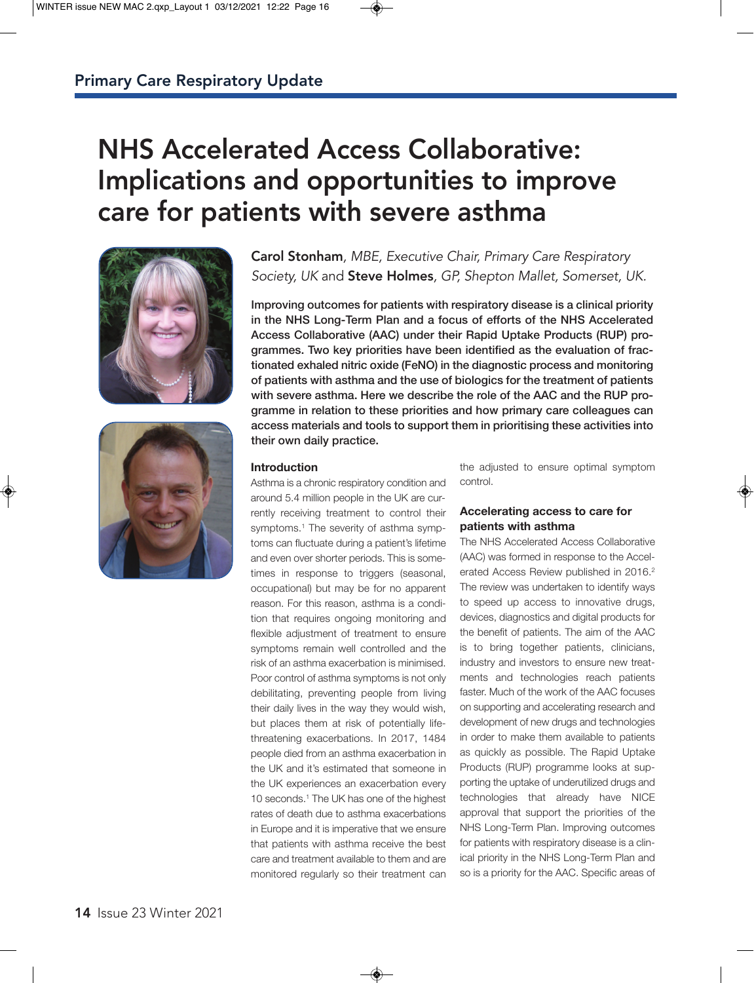# NHS Accelerated Access Collaborative: Implications and opportunities to improve care for patients with severe asthma





# Carol Stonham*, MBE, Executive Chair, Primary Care Respiratory Society, UK* and Steve Holmes*, GP, Shepton Mallet, Somerset, UK.*

**Improving outcomes for patients with respiratory disease is a clinical priority in the NHS Long-Term Plan and a focus of efforts of the NHS Accelerated Access Collaborative (AAC) under their Rapid Uptake Products (RUP) programmes. Two key priorities have been identified as the evaluation of fractionated exhaled nitric oxide (FeNO) in the diagnostic process and monitoring of patients with asthma and the use of biologics for the treatment of patients with severe asthma. Here we describe the role of the AAC and the RUP programme in relation to these priorities and how primary care colleagues can access materials and tools to support them in prioritising these activities into their own daily practice.**

# **Introduction**

Asthma is a chronic respiratory condition and around 5.4 million people in the UK are currently receiving treatment to control their symptoms.<sup>1</sup> The severity of asthma symptoms can fluctuate during a patient's lifetime and even over shorter periods. This is sometimes in response to triggers (seasonal, occupational) but may be for no apparent reason. For this reason, asthma is a condition that requires ongoing monitoring and flexible adjustment of treatment to ensure symptoms remain well controlled and the risk of an asthma exacerbation is minimised. Poor control of asthma symptoms is not only debilitating, preventing people from living their daily lives in the way they would wish, but places them at risk of potentially lifethreatening exacerbations. In 2017, 1484 people died from an asthma exacerbation in the UK and it's estimated that someone in the UK experiences an exacerbation every 10 seconds.<sup>1</sup> The UK has one of the highest rates of death due to asthma exacerbations in Europe and it is imperative that we ensure that patients with asthma receive the best care and treatment available to them and are monitored regularly so their treatment can

the adjusted to ensure optimal symptom control.

# **Accelerating access to care for patients with asthma**

The NHS Accelerated Access Collaborative (AAC) was formed in response to the Accelerated Access Review published in 2016.<sup>2</sup> The review was undertaken to identify ways to speed up access to innovative drugs, devices, diagnostics and digital products for the benefit of patients. The aim of the AAC is to bring together patients, clinicians, industry and investors to ensure new treatments and technologies reach patients faster. Much of the work of the AAC focuses on supporting and accelerating research and development of new drugs and technologies in order to make them available to patients as quickly as possible. The Rapid Uptake Products (RUP) programme looks at supporting the uptake of underutilized drugs and technologies that already have NICE approval that support the priorities of the NHS Long-Term Plan. Improving outcomes for patients with respiratory disease is a clinical priority in the NHS Long-Term Plan and so is a priority for the AAC. Specific areas of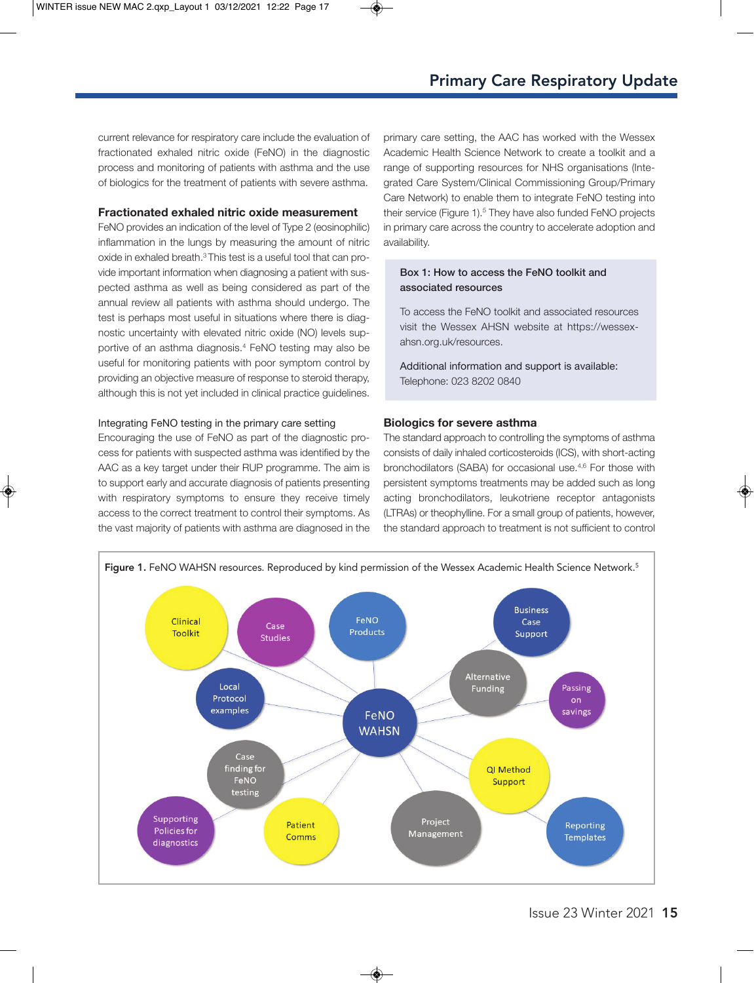current relevance for respiratory care include the evaluation of fractionated exhaled nitric oxide (FeNO) in the diagnostic process and monitoring of patients with asthma and the use of biologics for the treatment of patients with severe asthma.

#### **Fractionated exhaled nitric oxide measurement**

FeNO provides an indication of the level of Type 2 (eosinophilic) inflammation in the lungs by measuring the amount of nitric oxide in exhaled breath.3 This test is a useful tool that can provide important information when diagnosing a patient with suspected asthma as well as being considered as part of the annual review all patients with asthma should undergo. The test is perhaps most useful in situations where there is diagnostic uncertainty with elevated nitric oxide (NO) levels supportive of an asthma diagnosis.4 FeNO testing may also be useful for monitoring patients with poor symptom control by providing an objective measure of response to steroid therapy, although this is not yet included in clinical practice guidelines.

#### Integrating FeNO testing in the primary care setting

Encouraging the use of FeNO as part of the diagnostic process for patients with suspected asthma was identified by the AAC as a key target under their RUP programme. The aim is to support early and accurate diagnosis of patients presenting with respiratory symptoms to ensure they receive timely access to the correct treatment to control their symptoms. As the vast majority of patients with asthma are diagnosed in the primary care setting, the AAC has worked with the Wessex Academic Health Science Network to create a toolkit and a range of supporting resources for NHS organisations (Integrated Care System/Clinical Commissioning Group/Primary Care Network) to enable them to integrate FeNO testing into their service (Figure 1).<sup>5</sup> They have also funded FeNO projects in primary care across the country to accelerate adoption and availability.

### **Box 1: How to access the FeNO toolkit and associated resources**

To access the FeNO toolkit and associated resources visit the Wessex AHSN website at https://wessexahsn.org.uk/resources.

Additional information and support is available: Telephone: 023 8202 0840

### **Biologics for severe asthma**

The standard approach to controlling the symptoms of asthma consists of daily inhaled corticosteroids (ICS), with short-acting bronchodilators (SABA) for occasional use.4,6 For those with persistent symptoms treatments may be added such as long acting bronchodilators, leukotriene receptor antagonists (LTRAs) or theophylline. For a small group of patients, however, the standard approach to treatment is not sufficient to control

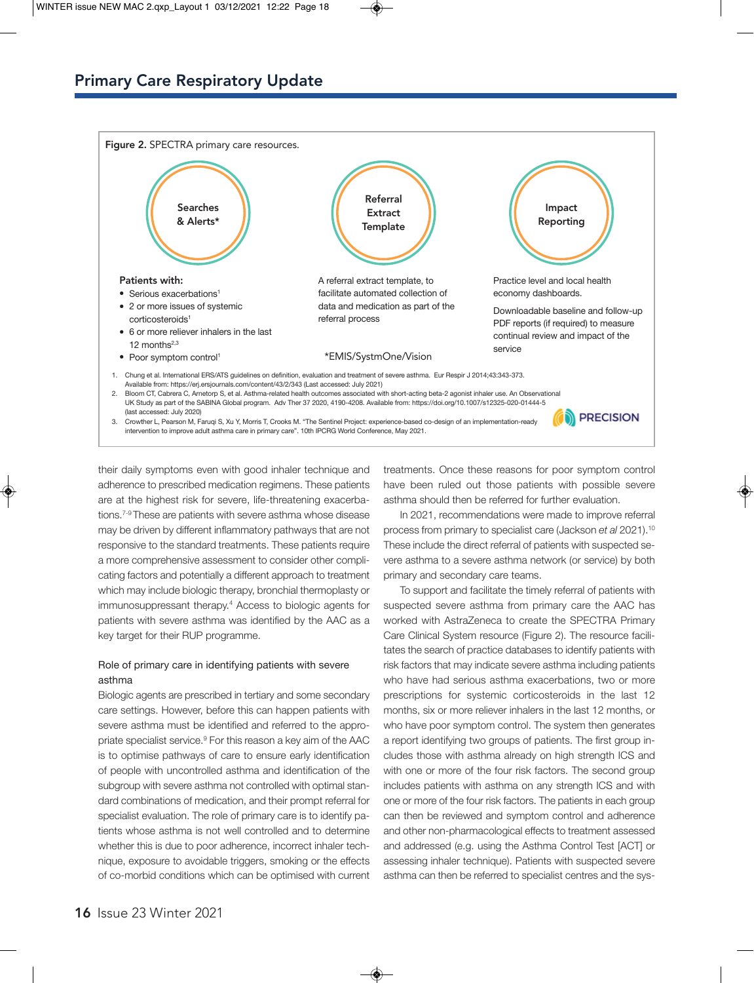

their daily symptoms even with good inhaler technique and adherence to prescribed medication regimens. These patients are at the highest risk for severe, life-threatening exacerbations.7-9 These are patients with severe asthma whose disease may be driven by different inflammatory pathways that are not responsive to the standard treatments. These patients require a more comprehensive assessment to consider other complicating factors and potentially a different approach to treatment which may include biologic therapy, bronchial thermoplasty or immunosuppressant therapy.4 Access to biologic agents for patients with severe asthma was identified by the AAC as a key target for their RUP programme.

# Role of primary care in identifying patients with severe asthma

Biologic agents are prescribed in tertiary and some secondary care settings. However, before this can happen patients with severe asthma must be identified and referred to the appropriate specialist service.9 For this reason a key aim of the AAC is to optimise pathways of care to ensure early identification of people with uncontrolled asthma and identification of the subgroup with severe asthma not controlled with optimal standard combinations of medication, and their prompt referral for specialist evaluation. The role of primary care is to identify patients whose asthma is not well controlled and to determine whether this is due to poor adherence, incorrect inhaler technique, exposure to avoidable triggers, smoking or the effects of co-morbid conditions which can be optimised with current

treatments. Once these reasons for poor symptom control have been ruled out those patients with possible severe asthma should then be referred for further evaluation.

In 2021, recommendations were made to improve referral process from primary to specialist care (Jackson *et al* 2021).10 These include the direct referral of patients with suspected severe asthma to a severe asthma network (or service) by both primary and secondary care teams.

To support and facilitate the timely referral of patients with suspected severe asthma from primary care the AAC has worked with AstraZeneca to create the SPECTRA Primary Care Clinical System resource (Figure 2). The resource facilitates the search of practice databases to identify patients with risk factors that may indicate severe asthma including patients who have had serious asthma exacerbations, two or more prescriptions for systemic corticosteroids in the last 12 months, six or more reliever inhalers in the last 12 months, or who have poor symptom control. The system then generates a report identifying two groups of patients. The first group includes those with asthma already on high strength ICS and with one or more of the four risk factors. The second group includes patients with asthma on any strength ICS and with one or more of the four risk factors. The patients in each group can then be reviewed and symptom control and adherence and other non-pharmacological effects to treatment assessed and addressed (e.g. using the Asthma Control Test [ACT] or assessing inhaler technique). Patients with suspected severe asthma can then be referred to specialist centres and the sys